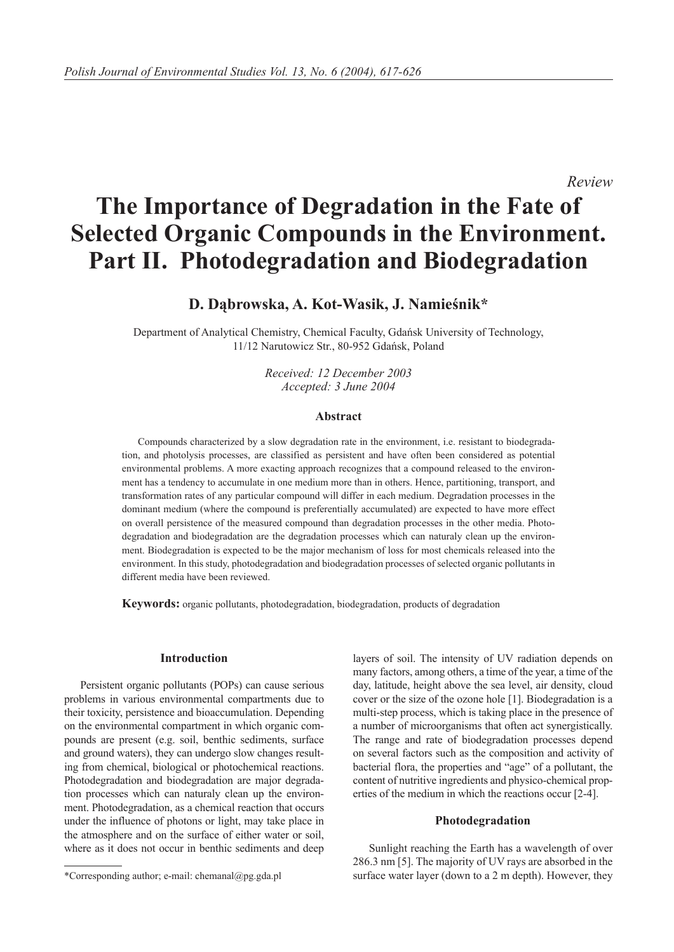*Review*

# **The Importance of Degradation in the Fate of Selected Organic Compounds in the Environment. Part II. Photodegradation and Biodegradation**

## **D. Dąbrowska, A. Kot-Wasik, J. Namieśnik\***

Department of Analytical Chemistry, Chemical Faculty, Gdańsk University of Technology, 11/12 Narutowicz Str., 80-952 Gdańsk, Poland

> *Received: 12 December 2003 Accepted: 3 June 2004*

#### **Abstract**

Compounds characterized by a slow degradation rate in the environment, i.e. resistant to biodegradation, and photolysis processes, are classified as persistent and have often been considered as potential environmental problems. A more exacting approach recognizes that a compound released to the environment has a tendency to accumulate in one medium more than in others. Hence, partitioning, transport, and transformation rates of any particular compound will differ in each medium. Degradation processes in the dominant medium (where the compound is preferentially accumulated) are expected to have more effect on overall persistence of the measured compound than degradation processes in the other media. Photodegradation and biodegradation are the degradation processes which can naturaly clean up the environment. Biodegradation is expected to be the major mechanism of loss for most chemicals released into the environment. In this study, photodegradation and biodegradation processes of selected organic pollutants in different media have been reviewed.

**Keywords:** organic pollutants, photodegradation, biodegradation, products of degradation

#### **Introduction**

Persistent organic pollutants (POPs) can cause serious problems in various environmental compartments due to their toxicity, persistence and bioaccumulation. Depending on the environmental compartment in which organic compounds are present (e.g. soil, benthic sediments, surface and ground waters), they can undergo slow changes resulting from chemical, biological or photochemical reactions. Photodegradation and biodegradation are major degradation processes which can naturaly clean up the environment. Photodegradation, as a chemical reaction that occurs under the influence of photons or light, may take place in the atmosphere and on the surface of either water or soil, where as it does not occur in benthic sediments and deep

#### **Photodegradation**

Sunlight reaching the Earth has a wavelength of over 286.3 nm [5]. The majority of UV rays are absorbed in the surface water layer (down to a 2 m depth). However, they

layers of soil. The intensity of UV radiation depends on many factors, among others, a time of the year, a time of the day, latitude, height above the sea level, air density, cloud cover or the size of the ozone hole [1]. Biodegradation is a multi-step process, which is taking place in the presence of a number of microorganisms that often act synergistically. The range and rate of biodegradation processes depend on several factors such as the composition and activity of bacterial flora, the properties and "age" of a pollutant, the content of nutritive ingredients and physico-chemical properties of the medium in which the reactions occur [2-4].

<sup>\*</sup>Corresponding author; e-mail: chemanal@pg.gda.pl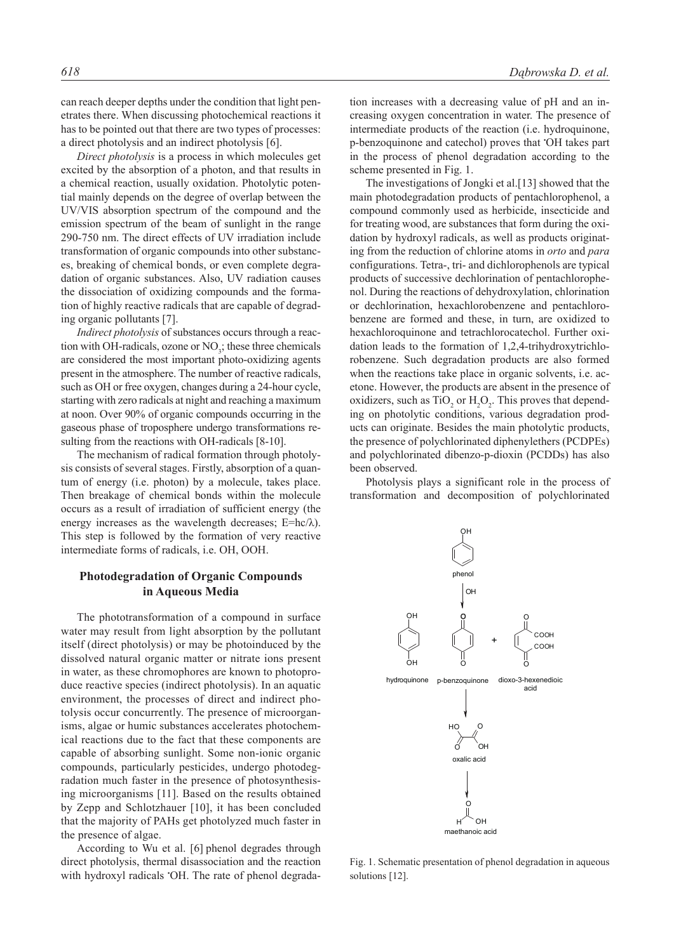can reach deeper depths under the condition that light penetrates there. When discussing photochemical reactions it has to be pointed out that there are two types of processes: a direct photolysis and an indirect photolysis [6].

*Direct photolysis* is a process in which molecules get excited by the absorption of a photon, and that results in a chemical reaction, usually oxidation. Photolytic potential mainly depends on the degree of overlap between the UV/VIS absorption spectrum of the compound and the emission spectrum of the beam of sunlight in the range 290-750 nm. The direct effects of UV irradiation include transformation of organic compounds into other substances, breaking of chemical bonds, or even complete degradation of organic substances. Also, UV radiation causes the dissociation of oxidizing compounds and the formation of highly reactive radicals that are capable of degrading organic pollutants [7].

*Indirect photolysis* of substances occurs through a reaction with OH-radicals, ozone or  $NO<sub>3</sub>$ ; these three chemicals are considered the most important photo-oxidizing agents present in the atmosphere. The number of reactive radicals, such as OH or free oxygen, changes during a 24-hour cycle, starting with zero radicals at night and reaching a maximum at noon. Over 90% of organic compounds occurring in the gaseous phase of troposphere undergo transformations resulting from the reactions with OH-radicals [8-10].

The mechanism of radical formation through photolysis consists of several stages. Firstly, absorption of a quantum of energy (i.e. photon) by a molecule, takes place. Then breakage of chemical bonds within the molecule occurs as a result of irradiation of sufficient energy (the energy increases as the wavelength decreases;  $E = hc/\lambda$ ). This step is followed by the formation of very reactive intermediate forms of radicals, i.e. OH, OOH.

#### **Photodegradation of Organic Compounds in Aqueous Media**

The phototransformation of a compound in surface water may result from light absorption by the pollutant itself (direct photolysis) or may be photoinduced by the dissolved natural organic matter or nitrate ions present in water, as these chromophores are known to photoproduce reactive species (indirect photolysis). In an aquatic environment, the processes of direct and indirect photolysis occur concurrently. The presence of microorganisms, algae or humic substances accelerates photochemical reactions due to the fact that these components are capable of absorbing sunlight. Some non-ionic organic compounds, particularly pesticides, undergo photodegradation much faster in the presence of photosynthesising microorganisms [11]. Based on the results obtained by Zepp and Schlotzhauer [10], it has been concluded that the majority of PAHs get photolyzed much faster in the presence of algae.

According to Wu et al. [6] phenol degrades through direct photolysis, thermal disassociation and the reaction with hydroxyl radicals • OH. The rate of phenol degrada-

tion increases with a decreasing value of pH and an increasing oxygen concentration in water. The presence of intermediate products of the reaction (i.e. hydroquinone, p-benzoquinone and catechol) proves that • OH takes part in the process of phenol degradation according to the scheme presented in Fig. 1.

The investigations of Jongki et al.[13] showed that the main photodegradation products of pentachlorophenol, a compound commonly used as herbicide, insecticide and for treating wood, are substances that form during the oxidation by hydroxyl radicals, as well as products originating from the reduction of chlorine atoms in *orto* and *para* configurations. Tetra-, tri- and dichlorophenols are typical products of successive dechlorination of pentachlorophenol. During the reactions of dehydroxylation, chlorination or dechlorination, hexachlorobenzene and pentachlorobenzene are formed and these, in turn, are oxidized to hexachloroquinone and tetrachlorocatechol. Further oxidation leads to the formation of 1,2,4-trihydroxytrichlorobenzene. Such degradation products are also formed when the reactions take place in organic solvents, i.e. acetone. However, the products are absent in the presence of oxidizers, such as  $TiO<sub>2</sub>$  or  $H<sub>2</sub>O<sub>2</sub>$ . This proves that depending on photolytic conditions, various degradation products can originate. Besides the main photolytic products, the presence of polychlorinated diphenylethers (PCDPEs) and polychlorinated dibenzo-p-dioxin (PCDDs) has also been observed.

Photolysis plays a significant role in the process of transformation and decomposition of polychlorinated



Fig. 1. Schematic presentation of phenol degradation in aqueous solutions [12].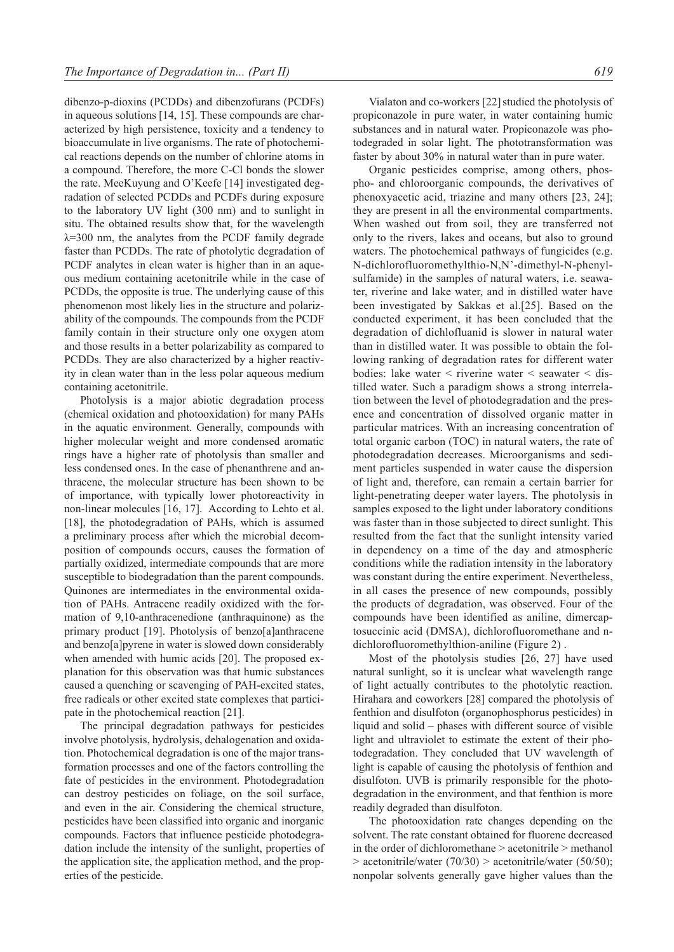dibenzo-p-dioxins (PCDDs) and dibenzofurans (PCDFs) in aqueous solutions [14, 15]. These compounds are characterized by high persistence, toxicity and a tendency to bioaccumulate in live organisms. The rate of photochemical reactions depends on the number of chlorine atoms in a compound. Therefore, the more C-Cl bonds the slower the rate. MeeKuyung and O'Keefe [14] investigated degradation of selected PCDDs and PCDFs during exposure to the laboratory UV light (300 nm) and to sunlight in situ. The obtained results show that, for the wavelength  $\lambda$ =300 nm, the analytes from the PCDF family degrade faster than PCDDs. The rate of photolytic degradation of PCDF analytes in clean water is higher than in an aqueous medium containing acetonitrile while in the case of PCDDs, the opposite is true. The underlying cause of this phenomenon most likely lies in the structure and polarizability of the compounds. The compounds from the PCDF family contain in their structure only one oxygen atom and those results in a better polarizability as compared to PCDDs. They are also characterized by a higher reactivity in clean water than in the less polar aqueous medium containing acetonitrile.

Photolysis is a major abiotic degradation process (chemical oxidation and photooxidation) for many PAHs in the aquatic environment. Generally, compounds with higher molecular weight and more condensed aromatic rings have a higher rate of photolysis than smaller and less condensed ones. In the case of phenanthrene and anthracene, the molecular structure has been shown to be of importance, with typically lower photoreactivity in non-linear molecules [16, 17]. According to Lehto et al. [18], the photodegradation of PAHs, which is assumed a preliminary process after which the microbial decomposition of compounds occurs, causes the formation of partially oxidized, intermediate compounds that are more susceptible to biodegradation than the parent compounds. Quinones are intermediates in the environmental oxidation of PAHs. Antracene readily oxidized with the formation of 9,10-anthracenedione (anthraquinone) as the primary product [19]. Photolysis of benzo[a]anthracene and benzo[a]pyrene in water is slowed down considerably when amended with humic acids [20]. The proposed explanation for this observation was that humic substances caused a quenching or scavenging of PAH-excited states, free radicals or other excited state complexes that participate in the photochemical reaction [21].

The principal degradation pathways for pesticides involve photolysis, hydrolysis, dehalogenation and oxidation. Photochemical degradation is one of the major transformation processes and one of the factors controlling the fate of pesticides in the environment. Photodegradation can destroy pesticides on foliage, on the soil surface, and even in the air. Considering the chemical structure, pesticides have been classified into organic and inorganic compounds. Factors that influence pesticide photodegradation include the intensity of the sunlight, properties of the application site, the application method, and the properties of the pesticide.

Vialaton and co-workers [22] studied the photolysis of propiconazole in pure water, in water containing humic substances and in natural water. Propiconazole was photodegraded in solar light. The phototransformation was faster by about 30% in natural water than in pure water.

Organic pesticides comprise, among others, phospho- and chloroorganic compounds, the derivatives of phenoxyacetic acid, triazine and many others [23, 24]; they are present in all the environmental compartments. When washed out from soil, they are transferred not only to the rivers, lakes and oceans, but also to ground waters. The photochemical pathways of fungicides (e.g. N-dichlorofluoromethylthio-N,N'-dimethyl-N-phenylsulfamide) in the samples of natural waters, i.e. seawater, riverine and lake water, and in distilled water have been investigated by Sakkas et al.[25]. Based on the conducted experiment, it has been concluded that the degradation of dichlofluanid is slower in natural water than in distilled water. It was possible to obtain the following ranking of degradation rates for different water bodies: lake water  $\leq$  riverine water  $\leq$  seawater  $\leq$  distilled water. Such a paradigm shows a strong interrelation between the level of photodegradation and the presence and concentration of dissolved organic matter in particular matrices. With an increasing concentration of total organic carbon (TOC) in natural waters, the rate of photodegradation decreases. Microorganisms and sediment particles suspended in water cause the dispersion of light and, therefore, can remain a certain barrier for light-penetrating deeper water layers. The photolysis in samples exposed to the light under laboratory conditions was faster than in those subjected to direct sunlight. This resulted from the fact that the sunlight intensity varied in dependency on a time of the day and atmospheric conditions while the radiation intensity in the laboratory was constant during the entire experiment. Nevertheless, in all cases the presence of new compounds, possibly the products of degradation, was observed. Four of the compounds have been identified as aniline, dimercaptosuccinic acid (DMSA), dichlorofluoromethane and ndichlorofluoromethylthion-aniline (Figure 2) .

Most of the photolysis studies [26, 27] have used natural sunlight, so it is unclear what wavelength range of light actually contributes to the photolytic reaction. Hirahara and coworkers [28] compared the photolysis of fenthion and disulfoton (organophosphorus pesticides) in liquid and solid – phases with different source of visible light and ultraviolet to estimate the extent of their photodegradation. They concluded that UV wavelength of light is capable of causing the photolysis of fenthion and disulfoton. UVB is primarily responsible for the photodegradation in the environment, and that fenthion is more readily degraded than disulfoton.

The photooxidation rate changes depending on the solvent. The rate constant obtained for fluorene decreased in the order of dichloromethane > acetonitrile > methanol  $>$  acetonitrile/water (70/30)  $>$  acetonitrile/water (50/50); nonpolar solvents generally gave higher values than the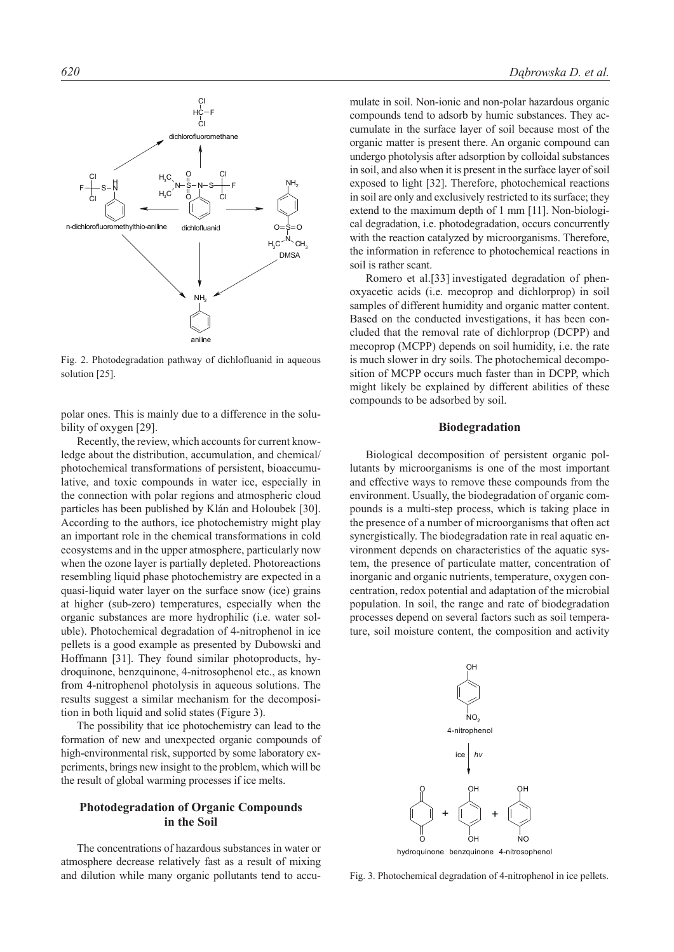

Fig. 2. Photodegradation pathway of dichlofluanid in aqueous solution [25].

polar ones. This is mainly due to a difference in the solubility of oxygen [29].

Recently, the review, which accounts for current knowledge about the distribution, accumulation, and chemical/ photochemical transformations of persistent, bioaccumulative, and toxic compounds in water ice, especially in the connection with polar regions and atmospheric cloud particles has been published by Klán and Holoubek [30]. According to the authors, ice photochemistry might play an important role in the chemical transformations in cold ecosystems and in the upper atmosphere, particularly now when the ozone layer is partially depleted. Photoreactions resembling liquid phase photochemistry are expected in a quasi-liquid water layer on the surface snow (ice) grains at higher (sub-zero) temperatures, especially when the organic substances are more hydrophilic (i.e. water soluble). Photochemical degradation of 4-nitrophenol in ice pellets is a good example as presented by Dubowski and Hoffmann [31]. They found similar photoproducts, hydroquinone, benzquinone, 4-nitrosophenol etc., as known from 4-nitrophenol photolysis in aqueous solutions. The results suggest a similar mechanism for the decomposition in both liquid and solid states (Figure 3).

The possibility that ice photochemistry can lead to the formation of new and unexpected organic compounds of high-environmental risk, supported by some laboratory experiments, brings new insight to the problem, which will be the result of global warming processes if ice melts.

## **Photodegradation of Organic Compounds in the Soil**

The concentrations of hazardous substances in water or atmosphere decrease relatively fast as a result of mixing and dilution while many organic pollutants tend to accu-

mulate in soil. Non-ionic and non-polar hazardous organic compounds tend to adsorb by humic substances. They accumulate in the surface layer of soil because most of the organic matter is present there. An organic compound can undergo photolysis after adsorption by colloidal substances in soil, and also when it is present in the surface layer of soil exposed to light [32]. Therefore, photochemical reactions in soil are only and exclusively restricted to its surface; they extend to the maximum depth of 1 mm [11]. Non-biological degradation, i.e. photodegradation, occurs concurrently with the reaction catalyzed by microorganisms. Therefore, the information in reference to photochemical reactions in soil is rather scant.

Romero et al.[33] investigated degradation of phenoxyacetic acids (i.e. mecoprop and dichlorprop) in soil samples of different humidity and organic matter content. Based on the conducted investigations, it has been concluded that the removal rate of dichlorprop (DCPP) and mecoprop (MCPP) depends on soil humidity, i.e. the rate is much slower in dry soils. The photochemical decomposition of MCPP occurs much faster than in DCPP, which might likely be explained by different abilities of these compounds to be adsorbed by soil.

#### **Biodegradation**

Biological decomposition of persistent organic pollutants by microorganisms is one of the most important and effective ways to remove these compounds from the environment. Usually, the biodegradation of organic compounds is a multi-step process, which is taking place in the presence of a number of microorganisms that often act synergistically. The biodegradation rate in real aquatic environment depends on characteristics of the aquatic system, the presence of particulate matter, concentration of inorganic and organic nutrients, temperature, oxygen concentration, redox potential and adaptation of the microbial population. In soil, the range and rate of biodegradation processes depend on several factors such as soil temperature, soil moisture content, the composition and activity



Fig. 3. Photochemical degradation of 4-nitrophenol in ice pellets.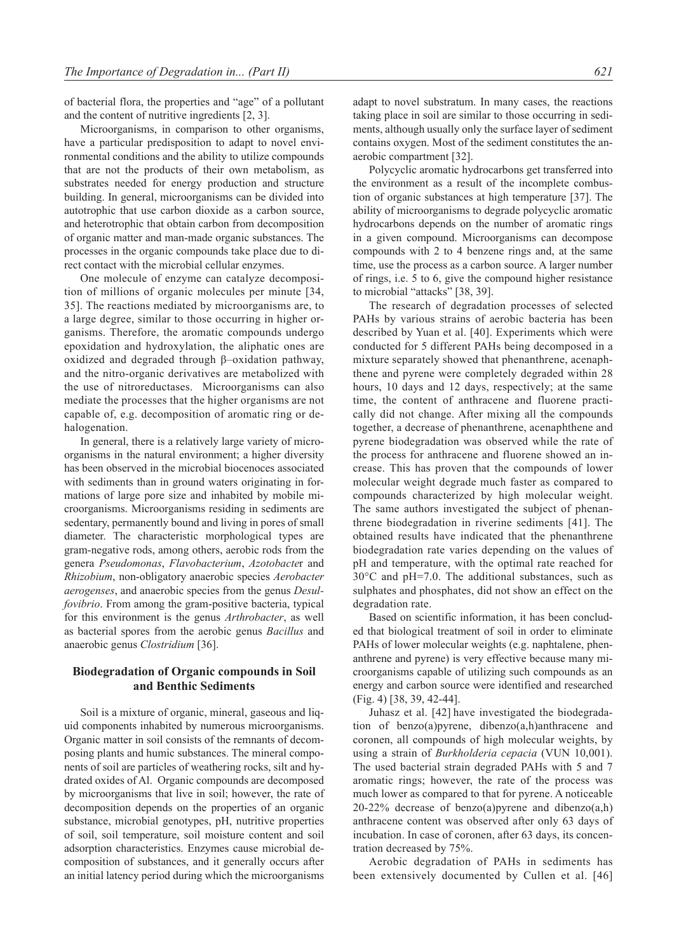of bacterial flora, the properties and "age" of a pollutant and the content of nutritive ingredients [2, 3].

Microorganisms, in comparison to other organisms, have a particular predisposition to adapt to novel environmental conditions and the ability to utilize compounds that are not the products of their own metabolism, as substrates needed for energy production and structure building. In general, microorganisms can be divided into autotrophic that use carbon dioxide as a carbon source, and heterotrophic that obtain carbon from decomposition of organic matter and man-made organic substances. The processes in the organic compounds take place due to direct contact with the microbial cellular enzymes.

One molecule of enzyme can catalyze decomposition of millions of organic molecules per minute [34, 35]. The reactions mediated by microorganisms are, to a large degree, similar to those occurring in higher organisms. Therefore, the aromatic compounds undergo epoxidation and hydroxylation, the aliphatic ones are oxidized and degraded through β–oxidation pathway, and the nitro-organic derivatives are metabolized with the use of nitroreductases. Microorganisms can also mediate the processes that the higher organisms are not capable of, e.g. decomposition of aromatic ring or dehalogenation.

In general, there is a relatively large variety of microorganisms in the natural environment; a higher diversity has been observed in the microbial biocenoces associated with sediments than in ground waters originating in formations of large pore size and inhabited by mobile microorganisms. Microorganisms residing in sediments are sedentary, permanently bound and living in pores of small diameter. The characteristic morphological types are gram-negative rods, among others, aerobic rods from the genera *Pseudomonas*, *Flavobacterium*, *Azotobacte*r and *Rhizobium*, non-obligatory anaerobic species *Aerobacter aerogenses*, and anaerobic species from the genus *Desulfovibrio*. From among the gram-positive bacteria, typical for this environment is the genus *Arthrobacter*, as well as bacterial spores from the aerobic genus *Bacillus* and anaerobic genus *Clostridium* [36].

#### **Biodegradation of Organic compounds in Soil and Benthic Sediments**

Soil is a mixture of organic, mineral, gaseous and liquid components inhabited by numerous microorganisms. Organic matter in soil consists of the remnants of decomposing plants and humic substances. The mineral components of soil are particles of weathering rocks, silt and hydrated oxides of Al. Organic compounds are decomposed by microorganisms that live in soil; however, the rate of decomposition depends on the properties of an organic substance, microbial genotypes, pH, nutritive properties of soil, soil temperature, soil moisture content and soil adsorption characteristics. Enzymes cause microbial decomposition of substances, and it generally occurs after an initial latency period during which the microorganisms

adapt to novel substratum. In many cases, the reactions taking place in soil are similar to those occurring in sediments, although usually only the surface layer of sediment contains oxygen. Most of the sediment constitutes the anaerobic compartment [32].

Polycyclic aromatic hydrocarbons get transferred into the environment as a result of the incomplete combustion of organic substances at high temperature [37]. The ability of microorganisms to degrade polycyclic aromatic hydrocarbons depends on the number of aromatic rings in a given compound. Microorganisms can decompose compounds with 2 to 4 benzene rings and, at the same time, use the process as a carbon source. A larger number of rings, i.e. 5 to 6, give the compound higher resistance to microbial "attacks" [38, 39].

The research of degradation processes of selected PAHs by various strains of aerobic bacteria has been described by Yuan et al. [40]. Experiments which were conducted for 5 different PAHs being decomposed in a mixture separately showed that phenanthrene, acenaphthene and pyrene were completely degraded within 28 hours, 10 days and 12 days, respectively; at the same time, the content of anthracene and fluorene practically did not change. After mixing all the compounds together, a decrease of phenanthrene, acenaphthene and pyrene biodegradation was observed while the rate of the process for anthracene and fluorene showed an increase. This has proven that the compounds of lower molecular weight degrade much faster as compared to compounds characterized by high molecular weight. The same authors investigated the subject of phenanthrene biodegradation in riverine sediments [41]. The obtained results have indicated that the phenanthrene biodegradation rate varies depending on the values of pH and temperature, with the optimal rate reached for 30°C and pH=7.0. The additional substances, such as sulphates and phosphates, did not show an effect on the degradation rate.

Based on scientific information, it has been concluded that biological treatment of soil in order to eliminate PAHs of lower molecular weights (e.g. naphtalene, phenanthrene and pyrene) is very effective because many microorganisms capable of utilizing such compounds as an energy and carbon source were identified and researched (Fig. 4) [38, 39, 42-44].

Juhasz et al. [42] have investigated the biodegradation of benzo(a)pyrene, dibenzo(a,h)anthracene and coronen, all compounds of high molecular weights, by using a strain of *Burkholderia cepacia* (VUN 10,001). The used bacterial strain degraded PAHs with 5 and 7 aromatic rings; however, the rate of the process was much lower as compared to that for pyrene. A noticeable 20-22% decrease of benzo(a)pyrene and dibenzo $(a,h)$ anthracene content was observed after only 63 days of incubation. In case of coronen, after 63 days, its concentration decreased by 75%.

Aerobic degradation of PAHs in sediments has been extensively documented by Cullen et al. [46]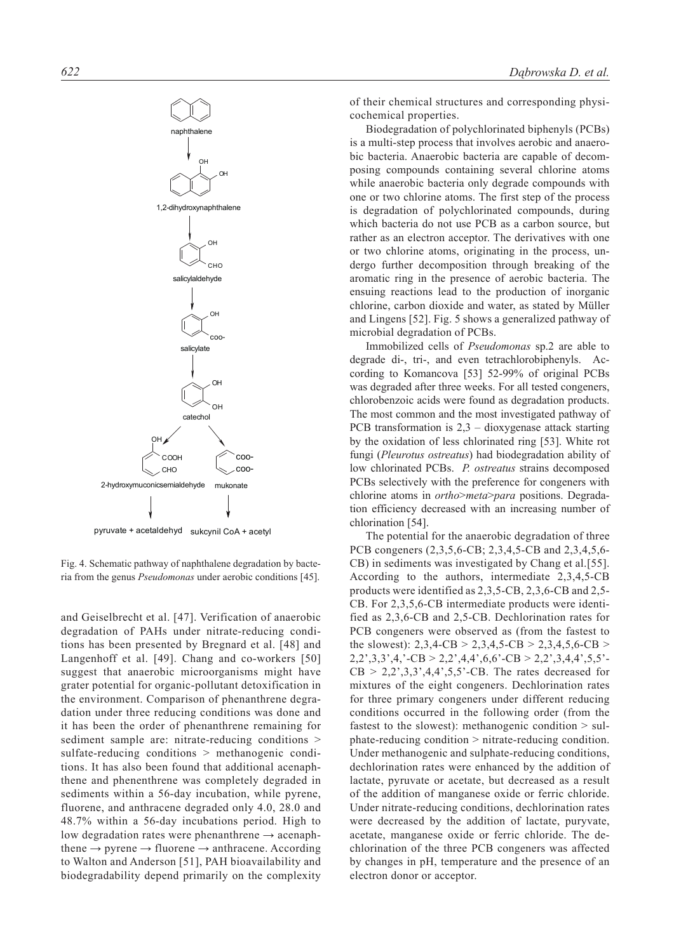

pyruvate + acetaldehyd sukcynil CoA + acetyl

Fig. 4. Schematic pathway of naphthalene degradation by bacteria from the genus *Pseudomonas* under aerobic conditions [45].

and Geiselbrecht et al. [47]. Verification of anaerobic degradation of PAHs under nitrate-reducing conditions has been presented by Bregnard et al. [48] and Langenhoff et al. [49]. Chang and co-workers [50] suggest that anaerobic microorganisms might have grater potential for organic-pollutant detoxification in the environment. Comparison of phenanthrene degradation under three reducing conditions was done and it has been the order of phenanthrene remaining for sediment sample are: nitrate-reducing conditions > sulfate-reducing conditions > methanogenic conditions. It has also been found that additional acenaphthene and phenenthrene was completely degraded in sediments within a 56-day incubation, while pyrene, fluorene, and anthracene degraded only 4.0, 28.0 and 48.7% within a 56-day incubations period. High to low degradation rates were phenanthrene  $\rightarrow$  acenaphthene  $\rightarrow$  pyrene  $\rightarrow$  fluorene  $\rightarrow$  anthracene. According to Walton and Anderson [51], PAH bioavailability and biodegradability depend primarily on the complexity

of their chemical structures and corresponding physicochemical properties.

Biodegradation of polychlorinated biphenyls (PCBs) is a multi-step process that involves aerobic and anaerobic bacteria. Anaerobic bacteria are capable of decomposing compounds containing several chlorine atoms while anaerobic bacteria only degrade compounds with one or two chlorine atoms. The first step of the process is degradation of polychlorinated compounds, during which bacteria do not use PCB as a carbon source, but rather as an electron acceptor. The derivatives with one or two chlorine atoms, originating in the process, undergo further decomposition through breaking of the aromatic ring in the presence of aerobic bacteria. The ensuing reactions lead to the production of inorganic chlorine, carbon dioxide and water, as stated by Müller and Lingens [52]. Fig. 5 shows a generalized pathway of microbial degradation of PCBs.

Immobilized cells of *Pseudomonas* sp.2 are able to degrade di-, tri-, and even tetrachlorobiphenyls. According to Komancova [53] 52-99% of original PCBs was degraded after three weeks. For all tested congeners, chlorobenzoic acids were found as degradation products. The most common and the most investigated pathway of PCB transformation is 2,3 – dioxygenase attack starting by the oxidation of less chlorinated ring [53]. White rot fungi (*Pleurotus ostreatus*) had biodegradation ability of low chlorinated PCBs. *P. ostreatus* strains decomposed PCBs selectively with the preference for congeners with chlorine atoms in *ortho*>*meta*>*para* positions. Degradation efficiency decreased with an increasing number of chlorination [54].

The potential for the anaerobic degradation of three PCB congeners (2,3,5,6-CB; 2,3,4,5-CB and 2,3,4,5,6- CB) in sediments was investigated by Chang et al.[55]. According to the authors, intermediate 2,3,4,5-CB products were identified as 2,3,5-CB, 2,3,6-CB and 2,5- CB. For 2,3,5,6-CB intermediate products were identified as 2,3,6-CB and 2,5-CB. Dechlorination rates for PCB congeners were observed as (from the fastest to the slowest):  $2,3,4$ -CB >  $2,3,4,5$ -CB >  $2,3,4,5,6$ -CB >  $2,2',3,3',4,'-CB > 2,2',4,4',6,6'-CB > 2,2',3,4,4',5,5' CB > 2,2,3,3,4,4,5,5$ <sup>-</sup>CB. The rates decreased for mixtures of the eight congeners. Dechlorination rates for three primary congeners under different reducing conditions occurred in the following order (from the fastest to the slowest): methanogenic condition  $>$  sulphate-reducing condition > nitrate-reducing condition. Under methanogenic and sulphate-reducing conditions, dechlorination rates were enhanced by the addition of lactate, pyruvate or acetate, but decreased as a result of the addition of manganese oxide or ferric chloride. Under nitrate-reducing conditions, dechlorination rates were decreased by the addition of lactate, puryvate, acetate, manganese oxide or ferric chloride. The dechlorination of the three PCB congeners was affected by changes in pH, temperature and the presence of an electron donor or acceptor.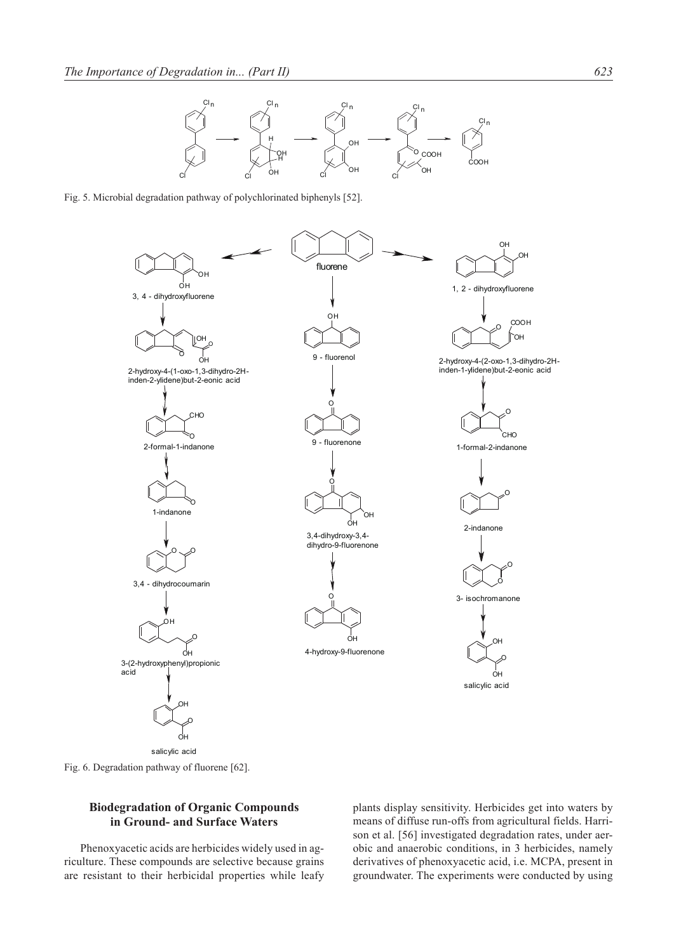





Fig. 6. Degradation pathway of fluorene [62].

### **Biodegradation of Organic Compounds in Ground- and Surface Waters**

Phenoxyacetic acids are herbicides widely used in agriculture. These compounds are selective because grains are resistant to their herbicidal properties while leafy

plants display sensitivity. Herbicides get into waters by means of diffuse run-offs from agricultural fields. Harrison et al. [56] investigated degradation rates, under aerobic and anaerobic conditions, in 3 herbicides, namely derivatives of phenoxyacetic acid, i.e. MCPA, present in groundwater. The experiments were conducted by using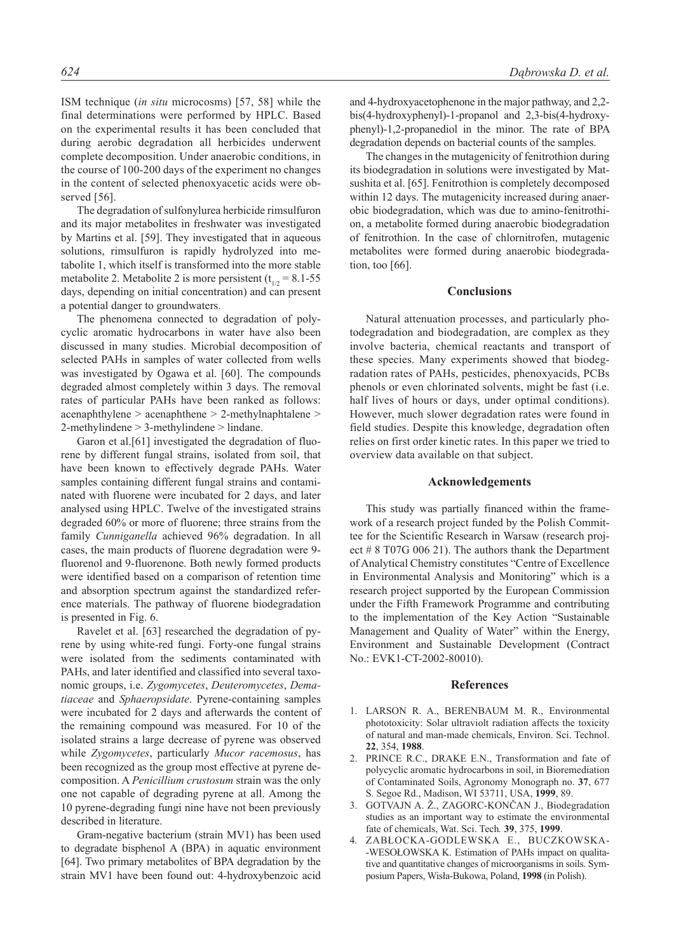ISM technique (*in situ* microcosms) [57, 58] while the final determinations were performed by HPLC. Based on the experimental results it has been concluded that during aerobic degradation all herbicides underwent complete decomposition. Under anaerobic conditions, in the course of 100-200 days of the experiment no changes in the content of selected phenoxyacetic acids were observed [56].

The degradation of sulfonylurea herbicide rimsulfuron and its major metabolites in freshwater was investigated by Martins et al. [59]. They investigated that in aqueous solutions, rimsulfuron is rapidly hydrolyzed into metabolite 1, which itself is transformed into the more stable metabolite 2. Metabolite 2 is more persistent  $(t_{1/2} = 8.1 - 55$ days, depending on initial concentration) and can present a potential danger to groundwaters.

The phenomena connected to degradation of polycyclic aromatic hydrocarbons in water have also been discussed in many studies. Microbial decomposition of selected PAHs in samples of water collected from wells was investigated by Ogawa et al. [60]. The compounds degraded almost completely within 3 days. The removal rates of particular PAHs have been ranked as follows: acenaphthylene > acenaphthene > 2-methylnaphtalene > 2-methylindene > 3-methylindene > lindane.

Garon et al.<sup>[61]</sup> investigated the degradation of fluorene by different fungal strains, isolated from soil, that have been known to effectively degrade PAHs. Water samples containing different fungal strains and contaminated with fluorene were incubated for 2 days, and later analysed using HPLC. Twelve of the investigated strains degraded 60% or more of fluorene; three strains from the family *Cunniganella* achieved 96% degradation. In all cases, the main products of fluorene degradation were 9 fluorenol and 9-fluorenone. Both newly formed products were identified based on a comparison of retention time and absorption spectrum against the standardized reference materials. The pathway of fluorene biodegradation is presented in Fig. 6.

Ravelet et al. [63] researched the degradation of pyrene by using white-red fungi. Forty-one fungal strains were isolated from the sediments contaminated with PAHs, and later identified and classified into several taxonomic groups, i.e. *Zygomycetes*, *Deuteromycetes*, *Dematiaceae* and *Sphaeropsidate*. Pyrene-containing samples were incubated for 2 days and afterwards the content of the remaining compound was measured. For 10 of the isolated strains a large decrease of pyrene was observed while *Zygomycetes*, particularly *Mucor racemosus*, has been recognized as the group most effective at pyrene decomposition. A *Penicillium crustosum* strain was the only one not capable of degrading pyrene at all. Among the 10 pyrene-degrading fungi nine have not been previously described in literature.

Gram-negative bacterium (strain MV1) has been used to degradate bisphenol A (BPA) in aquatic environment [64]. Two primary metabolites of BPA degradation by the strain MV1 have been found out: 4-hydroxybenzoic acid

and 4-hydroxyacetophenone in the major pathway, and 2,2 bis(4-hydroxyphenyl)-1-propanol and 2,3-bis(4-hydroxyphenyl)-1,2-propanediol in the minor. The rate of BPA degradation depends on bacterial counts of the samples.

The changes in the mutagenicity of fenitrothion during its biodegradation in solutions were investigated by Matsushita et al. [65]. Fenitrothion is completely decomposed within 12 days. The mutagenicity increased during anaerobic biodegradation, which was due to amino-fenitrothion, a metabolite formed during anaerobic biodegradation of fenitrothion. In the case of chlornitrofen, mutagenic metabolites were formed during anaerobic biodegradation, too [66].

#### **Conclusions**

Natural attenuation processes, and particularly photodegradation and biodegradation, are complex as they involve bacteria, chemical reactants and transport of these species. Many experiments showed that biodegradation rates of PAHs, pesticides, phenoxyacids, PCBs phenols or even chlorinated solvents, might be fast (i.e. half lives of hours or days, under optimal conditions). However, much slower degradation rates were found in field studies. Despite this knowledge, degradation often relies on first order kinetic rates. In this paper we tried to overview data available on that subject.

#### **Acknowledgements**

This study was partially financed within the framework of a research project funded by the Polish Committee for the Scientific Research in Warsaw (research project # 8 T07G 006 21). The authors thank the Department of Analytical Chemistry constitutes "Centre of Excellence in Environmental Analysis and Monitoring" which is a research project supported by the European Commission under the Fifth Framework Programme and contributing to the implementation of the Key Action "Sustainable Management and Quality of Water" within the Energy, Environment and Sustainable Development (Contract No.: EVK1-CT-2002-80010).

#### **References**

- 1. LARSON R. A., BERENBAUM M. R., Environmental phototoxicity: Solar ultraviolt radiation affects the toxicity of natural and man-made chemicals, Environ. Sci. Technol. **22**, 354, **1988**.
- 2. PRINCE R.C., DRAKE E.N., Transformation and fate of polycyclic aromatic hydrocarbons in soil, in Bioremediation of Contaminated Soils, Agronomy Monograph no. **37**, 677 S. Segoe Rd., Madison, WI 53711, USA, **1999**, 89.
- 3. GOTVAJN A. Ž., ZAGORC-KONČAN J., Biodegradation studies as an important way to estimate the environmental fate of chemicals, Wat. Sci. Tech*.* **39**, 375, **1999**.
- 4. ZABŁOCKA-GODLEWSKA E., BUCZKOWSKA- -WESOŁOWSKA K. Estimation of PAHs impact on qualitative and quantitative changes of microorganisms in soils. Symposium Papers, Wisła-Bukowa, Poland, **1998** (in Polish).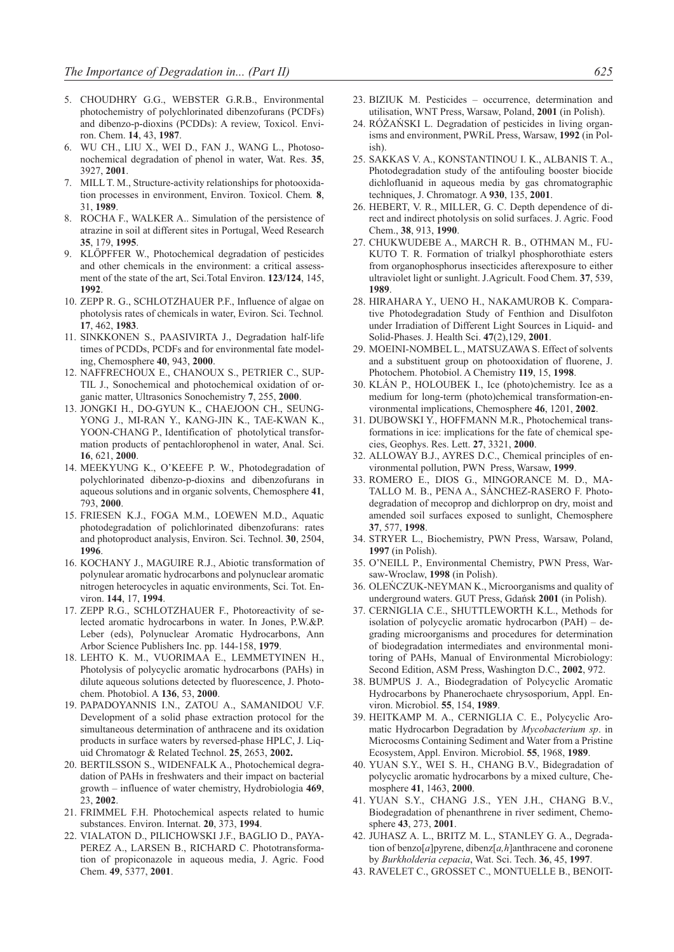- 5. CHOUDHRY G.G., WEBSTER G.R.B., Environmental photochemistry of polychlorinated dibenzofurans (PCDFs) and dibenzo-p-dioxins (PCDDs): A review, Toxicol. Environ. Chem. **14**, 43, **1987**.
- 6. WU CH., LIU X., WEI D., FAN J., WANG L., Photosonochemical degradation of phenol in water, Wat. Res. **35**, 3927, **2001**.
- 7. MILL T. M., Structure-activity relationships for photooxidation processes in environment, Environ. Toxicol. Chem*.* **8**, 31, **1989**.
- 8. ROCHA F., WALKER A.. Simulation of the persistence of atrazine in soil at different sites in Portugal, Weed Research **35**, 179, **1995**.
- 9. KLŐPFFER W., Photochemical degradation of pesticides and other chemicals in the environment: a critical assessment of the state of the art, Sci.Total Environ. **123/124**, 145, **1992**.
- 10. ZEPP R. G., SCHLOTZHAUER P.F., Influence of algae on photolysis rates of chemicals in water, Eviron. Sci. Technol*.* **17**, 462, **1983**.
- 11. SINKKONEN S., PAASIVIRTA J., Degradation half-life times of PCDDs, PCDFs and for environmental fate modeling, Chemosphere **40**, 943, **2000**.
- 12. NAFFRECHOUX E., CHANOUX S., PETRIER C., SUP-TIL J., Sonochemical and photochemical oxidation of organic matter, Ultrasonics Sonochemistry **7**, 255, **2000**.
- 13. JONGKI H., DO-GYUN K., CHAEJOON CH., SEUNG-YONG J., MI-RAN Y., KANG-JIN K., TAE-KWAN K., YOON-CHANG P., Identification of photolytical transformation products of pentachlorophenol in water, Anal. Sci. **16**, 621, **2000**.
- 14. MEEKYUNG K., O'KEEFE P. W., Photodegradation of polychlorinated dibenzo-p-dioxins and dibenzofurans in aqueous solutions and in organic solvents, Chemosphere **41**, 793, **2000**.
- 15. FRIESEN K.J., FOGA M.M., LOEWEN M.D., Aquatic photodegradation of polichlorinated dibenzofurans: rates and photoproduct analysis, Environ. Sci. Technol. **30**, 2504, **1996**.
- 16. KOCHANY J., MAGUIRE R.J., Abiotic transformation of polynulear aromatic hydrocarbons and polynuclear aromatic nitrogen heterocycles in aquatic environments, Sci. Tot. Environ. **144**, 17, **1994**.
- 17. ZEPP R.G., SCHLOTZHAUER F., Photoreactivity of selected aromatic hydrocarbons in water. In Jones, P.W.&P. Leber (eds), Polynuclear Aromatic Hydrocarbons, Ann Arbor Science Publishers Inc. pp. 144-158, **1979**.
- 18. LEHTO K. M., VUORIMAA E., LEMMETYINEN H., Photolysis of polycyclic aromatic hydrocarbons (PAHs) in dilute aqueous solutions detected by fluorescence, J. Photochem. Photobiol. A **136**, 53, **2000**.
- 19. PAPADOYANNIS I.N., ZATOU A., SAMANIDOU V.F. Development of a solid phase extraction protocol for the simultaneous determination of anthracene and its oxidation products in surface waters by reversed-phase HPLC, J. Liquid Chromatogr & Related Technol. **25**, 2653, **2002.**
- 20. BERTILSSON S., WIDENFALK A., Photochemical degradation of PAHs in freshwaters and their impact on bacterial growth – influence of water chemistry, Hydrobiologia **469**, 23, **2002**.
- 21. FRIMMEL F.H. Photochemical aspects related to humic substances. Environ. Internat. **20**, 373, **1994**.
- 22. VIALATON D., PILICHOWSKI J.F., BAGLIO D., PAYA-PEREZ A., LARSEN B., RICHARD C. Phototransformation of propiconazole in aqueous media, J. Agric. Food Chem. **49**, 5377, **2001**.
- 23. BIZIUK M. Pesticides occurrence, determination and utilisation, WNT Press, Warsaw, Poland, **2001** (in Polish).
- 24. RÓŻAŃSKI L. Degradation of pesticides in living organisms and environment, PWRiL Press, Warsaw, **1992** (in Polish).
- 25. SAKKAS V. A., KONSTANTINOU I. K., ALBANIS T. A., Photodegradation study of the antifouling booster biocide dichlofluanid in aqueous media by gas chromatographic techniques, J. Chromatogr. A **930**, 135, **2001**.
- 26. HEBERT, V. R., MILLER, G. C. Depth dependence of direct and indirect photolysis on solid surfaces. J. Agric. Food Chem., **38**, 913, **1990**.
- 27. CHUKWUDEBE A., MARCH R. B., OTHMAN M., FU-KUTO T. R. Formation of trialkyl phosphorothiate esters from organophosphorus insecticides afterexposure to either ultraviolet light or sunlight. J.Agricult. Food Chem. **37**, 539, **1989**.
- 28. HIRAHARA Y., UENO H., NAKAMUROB K. Comparative Photodegradation Study of Fenthion and Disulfoton under Irradiation of Different Light Sources in Liquid- and Solid-Phases. J. Health Sci. **47**(2),129, **2001**.
- 29. MOEINI-NOMBEL L., MATSUZAWA S. Effect of solvents and a substituent group on photooxidation of fluorene, J. Photochem. Photobiol. A Chemistry **119**, 15, **1998**.
- 30. KLÁN P., HOLOUBEK I., Ice (photo)chemistry. Ice as a medium for long-term (photo)chemical transformation-environmental implications, Chemosphere **46**, 1201, **2002**.
- 31. DUBOWSKI Y., HOFFMANN M.R., Photochemical transformations in ice: implications for the fate of chemical species, Geophys. Res. Lett. **27**, 3321, **2000**.
- 32. ALLOWAY B.J., AYRES D.C., Chemical principles of environmental pollution, PWN Press, Warsaw, **1999**.
- 33. ROMERO E., DIOS G., MINGORANCE M. D., MA-TALLO M. B., PENA A., SÁNCHEZ-RASERO F. Photodegradation of mecoprop and dichlorprop on dry, moist and amended soil surfaces exposed to sunlight, Chemosphere **37**, 577, **1998**.
- 34. STRYER L., Biochemistry, PWN Press, Warsaw, Poland, **1997** (in Polish).
- 35. O'NEILL P., Environmental Chemistry, PWN Press, Warsaw-Wroclaw, **1998** (in Polish).
- 36. OLEŃCZUK-NEYMAN K., Microorganisms and quality of underground waters. GUT Press, Gdańsk **2001** (in Polish).
- 37. CERNIGLIA C.E., SHUTTLEWORTH K.L., Methods for isolation of polycyclic aromatic hydrocarbon (PAH) – degrading microorganisms and procedures for determination of biodegradation intermediates and environmental monitoring of PAHs, Manual of Environmental Microbiology: Second Edition, ASM Press, Washington D.C., **2002**, 972.
- 38. BUMPUS J. A., Biodegradation of Polycyclic Aromatic Hydrocarbons by Phanerochaete chrysosporium, Appl. Environ. Microbiol. **55**, 154, **1989**.
- 39. HEITKAMP M. A., CERNIGLIA C. E., Polycyclic Aromatic Hydrocarbon Degradation by *Mycobacterium sp*. in Microcosms Containing Sediment and Water from a Pristine Ecosystem, Appl. Environ. Microbiol. **55**, 1968, **1989**.
- 40. YUAN S.Y., WEI S. H., CHANG B.V., Bidegradation of polycyclic aromatic hydrocarbons by a mixed culture, Chemosphere **41**, 1463, **2000**.
- 41. YUAN S.Y., CHANG J.S., YEN J.H., CHANG B.V., Biodegradation of phenanthrene in river sediment, Chemosphere **43**, 273, **2001**.
- 42. JUHASZ A. L., BRITZ M. L., STANLEY G. A., Degradation of benzo[*a*]pyrene, dibenz[*a,h*]anthracene and coronene by *Burkholderia cepacia*, Wat. Sci. Tech. **36**, 45, **1997**.
- 43. RAVELET C., GROSSET C., MONTUELLE B., BENOIT-